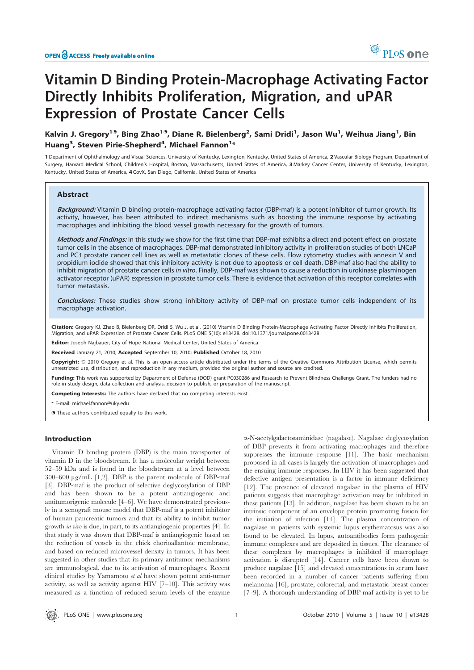

# Vitamin D Binding Protein-Macrophage Activating Factor Directly Inhibits Proliferation, Migration, and uPAR Expression of Prostate Cancer Cells

# Kalvin J. Gregory<sup>19</sup>, Bing Zhao<sup>19</sup>, Diane R. Bielenberg<sup>2</sup>, Sami Dridi<sup>1</sup>, Jason Wu<sup>1</sup>, Weihua Jiang<sup>1</sup>, Bin Huang $^3$ , Steven Pirie-Shepherd $^4$ , Michael Fannon $^{1\ast}$

1 Department of Ophthalmology and Visual Sciences, University of Kentucky, Lexington, Kentucky, United States of America, 2 Vascular Biology Program, Department of Surgery, Harvard Medical School, Children's Hospital, Boston, Massachusetts, United States of America, 3 Markey Cancer Center, University of Kentucky, Lexington, Kentucky, United States of America, 4 CovX, San Diego, California, United States of America

# Abstract

Background: Vitamin D binding protein-macrophage activating factor (DBP-maf) is a potent inhibitor of tumor growth. Its activity, however, has been attributed to indirect mechanisms such as boosting the immune response by activating macrophages and inhibiting the blood vessel growth necessary for the growth of tumors.

Methods and Findings: In this study we show for the first time that DBP-maf exhibits a direct and potent effect on prostate tumor cells in the absence of macrophages. DBP-maf demonstrated inhibitory activity in proliferation studies of both LNCaP and PC3 prostate cancer cell lines as well as metastatic clones of these cells. Flow cytometry studies with annexin V and propidium iodide showed that this inhibitory activity is not due to apoptosis or cell death. DBP-maf also had the ability to inhibit migration of prostate cancer cells in vitro. Finally, DBP-maf was shown to cause a reduction in urokinase plasminogen activator receptor (uPAR) expression in prostate tumor cells. There is evidence that activation of this receptor correlates with tumor metastasis.

Conclusions: These studies show strong inhibitory activity of DBP-maf on prostate tumor cells independent of its macrophage activation.

Citation: Gregory KJ, Zhao B, Bielenberg DR, Dridi S, Wu J, et al. (2010) Vitamin D Binding Protein-Macrophage Activating Factor Directly Inhibits Proliferation. Migration, and uPAR Expression of Prostate Cancer Cells. PLoS ONE 5(10): e13428. doi:10.1371/journal.pone.0013428

Editor: Joseph Najbauer, City of Hope National Medical Center, United States of America

Received January 21, 2010; Accepted September 10, 2010; Published October 18, 2010

Copyright: © 2010 Gregory et al. This is an open-access article distributed under the terms of the Creative Commons Attribution License, which permits unrestricted use, distribution, and reproduction in any medium, provided the original author and source are credited.

Funding: This work was supported by Department of Defense (DOD) grant PC030286 and Research to Prevent Blindness Challenge Grant. The funders had no role in study design, data collection and analysis, decision to publish, or preparation of the manuscript.

Competing Interests: The authors have declared that no competing interests exist.

\* E-mail: michael.fannon@uky.edu

. These authors contributed equally to this work.

## Introduction

Vitamin D binding protein (DBP) is the main transporter of vitamin D in the bloodstream. It has a molecular weight between 52–59 kDa and is found in the bloodstream at a level between 300–600  $\mu$ g/mL [1,2]. DBP is the parent molecule of DBP-maf [3]. DBP-maf is the product of selective deglycosylation of DBP and has been shown to be a potent antiangiogenic and antitumorigenic molecule [4–6]. We have demonstrated previously in a xenograft mouse model that DBP-maf is a potent inhibitor of human pancreatic tumors and that its ability to inhibit tumor growth in vivo is due, in part, to its antiangiogenic properties [4]. In that study it was shown that DBP-maf is antiangiogenic based on the reduction of vessels in the chick chorioallantoic membrane, and based on reduced microvessel density in tumors. It has been suggested in other studies that its primary antitumor mechanisms are immunological, due to its activation of macrophages. Recent clinical studies by Yamamoto et al have shown potent anti-tumor activity, as well as activity against HIV [7–10]. This activity was measured as a function of reduced serum levels of the enzyme

a-N-acetylgalactosaminidase (nagalase). Nagalase deglycosylation of DBP prevents it from activating macrophages and therefore suppresses the immune response [11]. The basic mechanism proposed in all cases is largely the activation of macrophages and the ensuing immune responses. In HIV it has been suggested that defective antigen presentation is a factor in immune deficiency [12]. The presence of elevated nagalase in the plasma of HIV patients suggests that macrophage activation may be inhibited in these patients [13]. In addition, nagalase has been shown to be an intrinsic component of an envelope protein promoting fusion for the initiation of infection [11]. The plasma concentration of nagalase in patients with systemic lupus erythematosus was also found to be elevated. In lupus, autoantibodies form pathogenic immune complexes and are deposited in tissues. The clearance of these complexes by macrophages is inhibited if macrophage activation is disrupted [14]. Cancer cells have been shown to produce nagalase [15] and elevated concentrations in serum have been recorded in a number of cancer patients suffering from melanoma [16], prostate, colorectal, and metastatic breast cancer [7–9]. A thorough understanding of DBP-maf activity is yet to be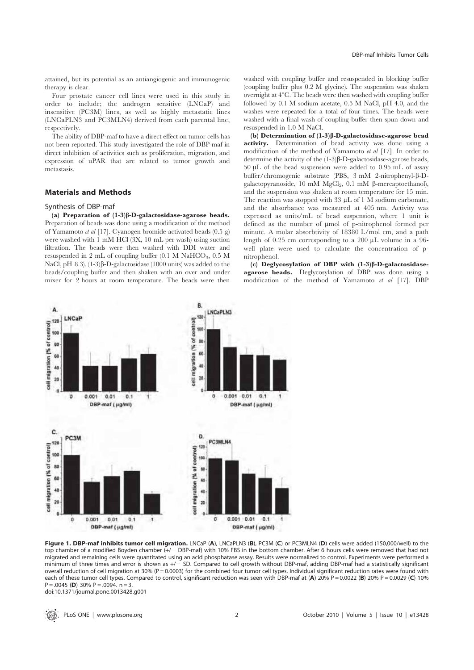attained, but its potential as an antiangiogenic and immunogenic therapy is clear.

Four prostate cancer cell lines were used in this study in order to include; the androgen sensitive (LNCaP) and insensitive (PC3M) lines, as well as highly metastatic lines (LNCaPLN3 and PC3MLN4) derived from each parental line, respectively.

The ability of DBP-maf to have a direct effect on tumor cells has not been reported. This study investigated the role of DBP-maf in direct inhibition of activities such as proliferation, migration, and expression of uPAR that are related to tumor growth and metastasis.

## Materials and Methods

## Synthesis of DBP-maf

(a) Preparation of  $(1-3)\beta$ -D-galactosidase-agarose beads. Preparation of beads was done using a modification of the method of Yamamoto et al [17]. Cyanogen bromide-activated beads (0.5 g) were washed with 1 mM HCl (3X, 10 mL per wash) using suction filtration. The beads were then washed with DDI water and resuspended in 2 mL of coupling buffer  $(0.1 \text{ M } \text{NaHCO}_3, 0.5 \text{ M})$ NaCl, pH 8.3).  $(1-3)\beta$ -D-galactosidase (1000 units) was added to the beads/coupling buffer and then shaken with an over and under mixer for 2 hours at room temperature. The beads were then



(b) Determination of  $(1-3)\beta$ -D-galactosidase-agarose bead activity. Determination of bead activity was done using a modification of the method of Yamamoto et al [17]. In order to determine the activity of the  $(1-3)\beta$ -D-galactosidase-agarose beads, 50 mL of the bead suspension were added to 0.95 mL of assay buffer/chromogenic substrate (PBS, 3 mM 2-nitrophenyl-β-Dgalactopyranoside, 10 mM  $MgCl<sub>2</sub>$ , 0.1 mM  $\beta$ -mercaptoethanol), and the suspension was shaken at room temperature for 15 min. The reaction was stopped with 33  $\mu$ L of 1 M sodium carbonate, and the absorbance was measured at 405 nm. Activity was expressed as units/mL of bead suspension, where 1 unit is defined as the number of µmol of p-nitrophenol formed per minute. A molar absorbtivity of 18380 L/mol cm, and a path length of 0.25 cm corresponding to a 200  $\mu$ L volume in a 96well plate were used to calculate the concentration of pnitrophenol.

(c) Deglycosylation of DBP with  $(1-3)\beta$ -D-galactosidaseagarose beads. Deglycosylation of DBP was done using a modification of the method of Yamamoto et al [17]. DBP



Figure 1. DBP-maf inhibits tumor cell migration. LNCaP (A), LNCaPLN3 (B), PC3M (C) or PC3MLN4 (D) cells were added (150,000/well) to the top chamber of a modified Boyden chamber (+/- DBP-maf) with 10% FBS in the bottom chamber. After 6 hours cells were removed that had not migrated and remaining cells were quantitated using an acid phosphatase assay. Results were normalized to control. Experiments were performed a minimum of three times and error is shown as  $+/-$  SD. Compared to cell growth without DBP-maf, adding DBP-maf had a statistically significant overall reduction of cell migration at 30% (P = 0.0003) for the combined four tumor cell types. Individual significant reduction rates were found with each of these tumor cell types. Compared to control, significant reduction was seen with DBP-maf at (A) 20% P = 0.0022 (B) 20% P = 0.0029 (C) 10%  $P = 0.0045$  (D) 30%  $P = 0.0094$ , n = 3. doi:10.1371/journal.pone.0013428.g001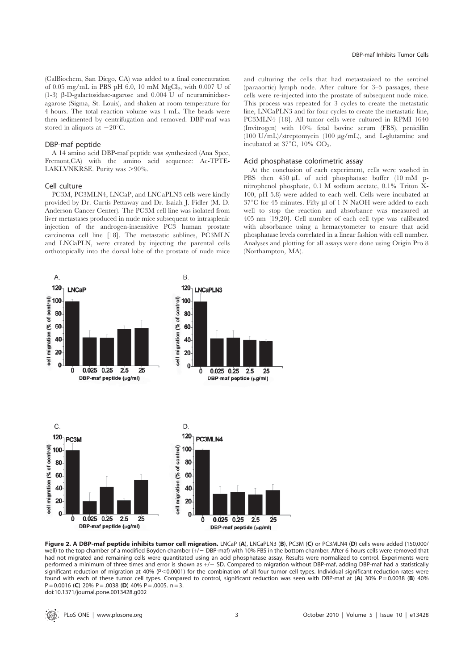(CalBiochem, San Diego, CA) was added to a final concentration of 0.05 mg/mL in PBS pH 6.0, 10 mM  $MgCl<sub>2</sub>$ , with 0.007 U of (1-3)  $\beta$ -D-galactosidase-agarose and 0.004 U of neuraminidaseagarose (Sigma, St. Louis), and shaken at room temperature for 4 hours. The total reaction volume was 1 mL. The beads were then sedimented by centrifugation and removed. DBP-maf was stored in aliquots at  $-20^{\circ}$ C.

#### DBP-maf peptide

A 14 amino acid DBP-maf peptide was synthesized (Ana Spec, Fremont,CA) with the amino acid sequence: Ac-TPTE-LAKLVNKRSE. Purity was >90%.

## Cell culture

A.

PC3M, PC3MLN4, LNCaP, and LNCaPLN3 cells were kindly provided by Dr. Curtis Pettaway and Dr. Isaiah J. Fidler (M. D. Anderson Cancer Center). The PC3M cell line was isolated from liver metastases produced in nude mice subsequent to intrasplenic injection of the androgen-insensitive PC3 human prostate carcinoma cell line [18]. The metastatic sublines, PC3MLN and LNCaPLN, were created by injecting the parental cells orthotopically into the dorsal lobe of the prostate of nude mice and culturing the cells that had metastasized to the sentinel (paraaortic) lymph node. After culture for 3–5 passages, these cells were re-injected into the prostate of subsequent nude mice. This process was repeated for 3 cycles to create the metastatic line, LNCaPLN3 and for four cycles to create the metastatic line, PC3MLN4 [18]. All tumor cells were cultured in RPMI 1640 (Invitrogen) with 10% fetal bovine serum (FBS), penicillin (100 U/mL)/streptomycin (100 mg/mL), and L-glutamine and incubated at  $37^{\circ}$ C,  $10\%$  CO<sub>2</sub>.

## Acid phosphatase colorimetric assay

At the conclusion of each experiment, cells were washed in PBS then 450 µL of acid phosphatase buffer (10 mM pnitrophenol phosphate, 0.1 M sodium acetate, 0.1% Triton X-100, pH 5.8) were added to each well. Cells were incubated at  $37^{\circ}$ C for 45 minutes. Fifty µl of 1 N NaOH were added to each well to stop the reaction and absorbance was measured at 405 nm [19,20]. Cell number of each cell type was calibrated with absorbance using a hemacytometer to ensure that acid phosphatase levels correlated in a linear fashion with cell number. Analyses and plotting for all assays were done using Origin Pro 8 (Northampton, MA).



B.

Figure 2. A DBP-maf peptide inhibits tumor cell migration. LNCaP (A), LNCaPLN3 (B), PC3M (C) or PC3MLN4 (D) cells were added (150,000/ well) to the top chamber of a modified Boyden chamber (+/- DBP-maf) with 10% FBS in the bottom chamber. After 6 hours cells were removed that had not migrated and remaining cells were quantitated using an acid phosphatase assay. Results were normalized to control. Experiments were performed a minimum of three times and error is shown as  $+/-$  SD. Compared to migration without DBP-maf, adding DBP-maf had a statistically significant reduction of migration at 40% (P<0.0001) for the combination of all four tumor cell types. Individual significant reduction rates were found with each of these tumor cell types. Compared to control, significant reduction was seen with DBP-maf at  $(A)$  30% P = 0.0038 (B) 40%  $P = 0.0016$  (C) 20% P = .0038 (D) 40% P = .0005. n = 3. doi:10.1371/journal.pone.0013428.g002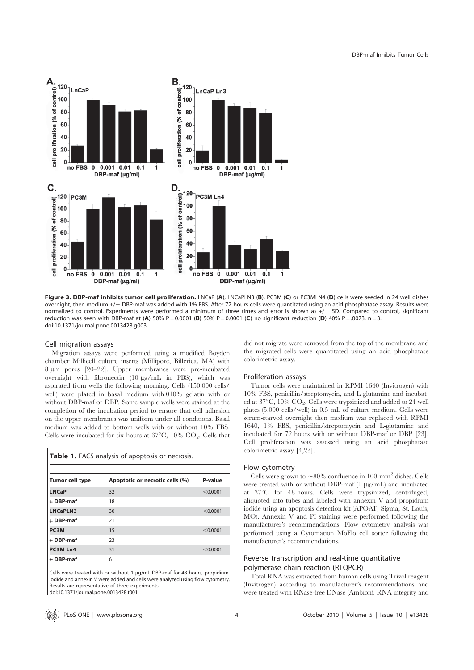

Figure 3. DBP-maf inhibits tumor cell proliferation. LNCaP (A), LNCaPLN3 (B), PC3M (C) or PC3MLN4 (D) cells were seeded in 24 well dishes overnight, then medium +/2 DBP-maf was added with 1% FBS. After 72 hours cells were quantitated using an acid phosphatase assay. Results were normalized to control. Experiments were performed a minimum of three times and error is shown as  $+/-$  SD. Compared to control, significant reduction was seen with DBP-maf at (A) 50% P = 0.0001 (B) 50% P = 0.0001 (C) no significant reduction (D) 40% P = .0073. n = 3. doi:10.1371/journal.pone.0013428.g003

## Cell migration assays

Migration assays were performed using a modified Boyden chamber Millicell culture inserts (Millipore, Billerica, MA) with 8 µm pores [20-22]. Upper membranes were pre-incubated overnight with fibronectin  $(10 \mu g/mL$  in PBS), which was aspirated from wells the following morning. Cells (150,000 cells/ well) were plated in basal medium with.010% gelatin with or without DBP-maf or DBP. Some sample wells were stained at the completion of the incubation period to ensure that cell adhesion on the upper membranes was uniform under all conditions. Basal medium was added to bottom wells with or without 10% FBS. Cells were incubated for six hours at  $37^{\circ}$ C,  $10\%$  CO<sub>2</sub>. Cells that

|  |  |  |  | Table 1. FACS analysis of apoptosis or necrosis. |  |  |
|--|--|--|--|--------------------------------------------------|--|--|
|--|--|--|--|--------------------------------------------------|--|--|

| Tumor cell type   | Apoptotic or necrotic cells (%) | P-value  |
|-------------------|---------------------------------|----------|
| <b>LNCaP</b>      | 32                              | < 0.0001 |
| + DBP-maf         | 18                              |          |
| <b>LNCaPLN3</b>   | 30                              | < 0.0001 |
| + DBP-maf         | 21                              |          |
| PC <sub>3</sub> M | 15                              | < 0.0001 |
| + DBP-maf         | 23                              |          |
| PC3M Ln4          | 31                              | < 0.0001 |
| + DBP-maf         | 6                               |          |

Cells were treated with or without 1  $\mu$ g/mL DBP-maf for 48 hours, propidium iodide and annexin V were added and cells were analyzed using flow cytometry. Results are representative of three experiments. doi:10.1371/journal.pone.0013428.t001

did not migrate were removed from the top of the membrane and the migrated cells were quantitated using an acid phosphatase colorimetric assay.

#### Proliferation assays

Tumor cells were maintained in RPMI 1640 (Invitrogen) with 10% FBS, penicillin/streptomycin, and L-glutamine and incubated at  $37^{\circ}$ C,  $10\%$  CO<sub>2</sub>. Cells were trypsinized and added to 24 well plates (5,000 cells/well) in 0.5 mL of culture medium. Cells were serum-starved overnight then medium was replaced with RPMI 1640, 1% FBS, penicillin/streptomycin and L-glutamine and incubated for 72 hours with or without DBP-maf or DBP [23]. Cell proliferation was assessed using an acid phosphatase colorimetric assay [4,23].

#### Flow cytometry

Cells were grown to  $\sim80\%$  confluence in 100 mm<sup>2</sup> dishes. Cells were treated with or without DBP-maf (1  $\mu$ g/mL) and incubated at 37°C for 48 hours. Cells were trypsinized, centrifuged, aliquoted into tubes and labeled with annexin V and propidium iodide using an apoptosis detection kit (APOAF, Sigma, St. Louis, MO). Annexin V and PI staining were performed following the manufacturer's recommendations. Flow cytometry analysis was performed using a Cytomation MoFlo cell sorter following the manufacturer's recommendations.

## Reverse transcription and real-time quantitative polymerase chain reaction (RTQPCR)

Total RNA was extracted from human cells using Trizol reagent (Invitrogen) according to manufacturer's recommendations and were treated with RNase-free DNase (Ambion). RNA integrity and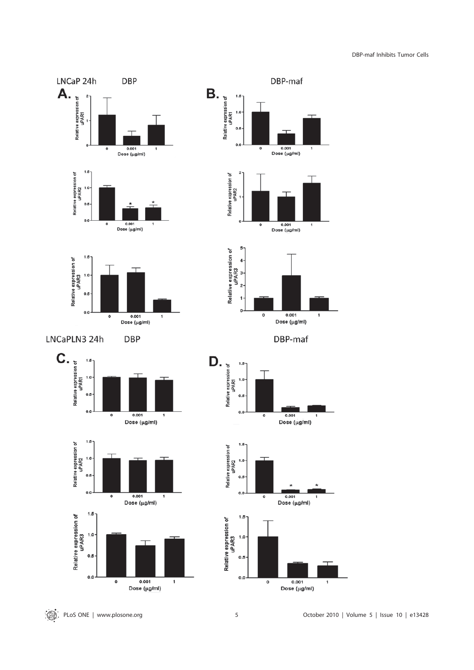DBP-maf Inhibits Tumor Cells

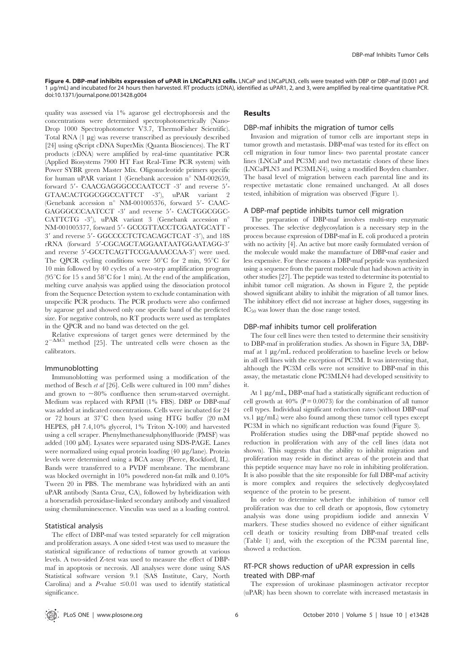Figure 4. DBP-maf inhibits expression of uPAR in LNCaPLN3 cells. LNCaP and LNCaPLN3, cells were treated with DBP or DBP-maf (0.001 and 1 mg/mL) and incubated for 24 hours then harvested. RT products (cDNA), identified as uPAR1, 2, and 3, were amplified by real-time quantitative PCR. doi:10.1371/journal.pone.0013428.g004

quality was assessed via 1% agarose gel electrophoresis and the concentrations were determined spectrophotometrically (Nano-Drop 1000 Spectrophotometer V3.7, ThermoFisher Scientific). Total RNA (1 µg) was reverse transcribed as previously described [24] using qScript cDNA SuperMix (Quanta Biosciences). The RT products (cDNA) were amplified by real-time quantitative PCR (Applied Biosystems 7900 HT Fast Real-Time PCR system) with Power SYBR green Master Mix. Oligonucleotide primers specific for human uPAR variant 1 (Genebank accession n° NM-002659, forward 5'- CAACGAGGGCCCAATCCT -3' and reverse 5'-GTAACACTGGCGGCCATTCT -3'), uPAR variant 2 (Genebank accession  $n^{\circ}$  NM-001005376, forward 5'- CAAC-GAGGGCCCAATCCT -3' and reverse 5'- CACTGGCGGC-CATTCTG -3'), uPAR variant 3 (Genebank accession n° NM-001005377, forward 5'- GCCGTTACCTCGAATGCATT -3' and reverse 5'- GGCCCCTCTCACAGCTCAT -3'), and 18S  ${\bf rRNA} \hspace{2mm} {\rm (forward \hspace{2mm} 5'-CGCAGCTAGGAATAATGGAATAGG-3')}$ and reverse 5'-GCCTCAGTTCCGAAAACCAA-3') were used. The QPCR cycling conditions were  $50^{\circ}$ C for 2 min,  $95^{\circ}$ C for 10 min followed by 40 cycles of a two-step amplification program (95 $^{\circ}$ C for 15 s and 58 $^{\circ}$ C for 1 min). At the end of the amplification, melting curve analysis was applied using the dissociation protocol from the Sequence Detection system to exclude contamination with unspecific PCR products. The PCR products were also confirmed by agarose gel and showed only one specific band of the predicted size. For negative controls, no RT products were used as templates in the QPCR and no band was detected on the gel.

Relative expressions of target genes were determined by the  $2^{-\Delta\Delta Ct}$  method [25]. The untreated cells were chosen as the calibrators.

## Immunoblotting

Immunoblotting was performed using a modification of the method of Besch et al [26]. Cells were cultured in  $100 \text{ mm}^2$  dishes and grown to  $\sim80\%$  confluence then serum-starved overnight. Medium was replaced with RPMI (1% FBS). DBP or DBP-maf was added at indicated concentrations. Cells were incubated for 24 or 72 hours at  $37^{\circ}$ C then lysed using HTG buffer (20 mM HEPES, pH 7.4,10% glycerol, 1% Triton X-100) and harvested using a cell scraper. Phenylmethanesulphonylfluoride (PMSF) was added (100 µM). Lysates were separated using SDS-PAGE. Lanes were normalized using equal protein loading (40 µg/lane). Protein levels were determined using a BCA assay (Pierce, Rockford, IL). Bands were transferred to a PVDF membrane. The membrane was blocked overnight in 10% powdered non-fat milk and 0.10% Tween 20 in PBS. The membrane was hybridized with an anti uPAR antibody (Santa Cruz, CA), followed by hybridization with a horseradish peroxidase-linked secondary antibody and visualized using chemiluminescence. Vinculin was used as a loading control.

## Statistical analysis

The effect of DBP-maf was tested separately for cell migration and proliferation assays. A one sided t-test was used to measure the statistical significance of reductions of tumor growth at various levels. A two-sided Z-test was used to measure the effect of DBPmaf in apoptosis or necrosis. All analyses were done using SAS Statistical software version 9.1 (SAS Institute, Cary, North Carolina) and a P-value  $\leq 0.01$  was used to identify statistical significance.

#### Results

#### DBP-maf inhibits the migration of tumor cells

Invasion and migration of tumor cells are important steps in tumor growth and metastasis. DBP-maf was tested for its effect on cell migration in four tumor lines- two parental prostate cancer lines (LNCaP and PC3M) and two metastatic clones of these lines (LNCaPLN3 and PC3MLN4), using a modified Boyden chamber. The basal level of migration between each parental line and its respective metastatic clone remained unchanged. At all doses tested, inhibition of migration was observed (Figure 1).

#### A DBP-maf peptide inhibits tumor cell migration

The preparation of DBP-maf involves multi-step enzymatic processes. The selective deglycosylation is a necessary step in the process because expression of DBP-maf in E. coli produced a protein with no activity [4]. An active but more easily formulated version of the molecule would make the manufacture of DBP-maf easier and less expensive. For these reasons a DBP-maf peptide was synthesized using a sequence from the parent molecule that had shown activity in other studies [27]. The peptide was tested to determine its potential to inhibit tumor cell migration. As shown in Figure 2, the peptide showed significant ability to inhibit the migration of all tumor lines. The inhibitory effect did not increase at higher doses, suggesting its IC<sub>50</sub> was lower than the dose range tested.

## DBP-maf inhibits tumor cell proliferation

The four cell lines were then tested to determine their sensitivity to DBP-maf in proliferation studies. As shown in Figure 3A, DBPmaf at 1 µg/mL reduced proliferation to baseline levels or below in all cell lines with the exception of PC3M. It was interesting that, although the PC3M cells were not sensitive to DBP-maf in this assay, the metastatic clone PC3MLN4 had developed sensitivity to it.

At  $1 \mu$ g/mL, DBP-maf had a statistically significant reduction of cell growth at  $40\%$  ( $P = 0.0073$ ) for the combination of all tumor cell types. Individual significant reduction rates (without DBP-maf vs.1  $\mu$ g/mL) were also found among these tumor cell types except PC3M in which no significant reduction was found (Figure 3).

Proliferation studies using the DBP-maf peptide showed no reduction in proliferation with any of the cell lines (data not shown). This suggests that the ability to inhibit migration and proliferation may reside in distinct areas of the protein and that this peptide sequence may have no role in inhibiting proliferation. It is also possible that the site responsible for full DBP-maf activity is more complex and requires the selectively deglycosylated sequence of the protein to be present.

In order to determine whether the inhibition of tumor cell proliferation was due to cell death or apoptosis, flow cytometry analysis was done using propidium iodide and annexin V markers. These studies showed no evidence of either significant cell death or toxicity resulting from DBP-maf treated cells (Table 1) and, with the exception of the PC3M parental line, showed a reduction.

# RT-PCR shows reduction of uPAR expression in cells treated with DBP-maf

The expression of urokinase plasminogen activator receptor (uPAR) has been shown to correlate with increased metastasis in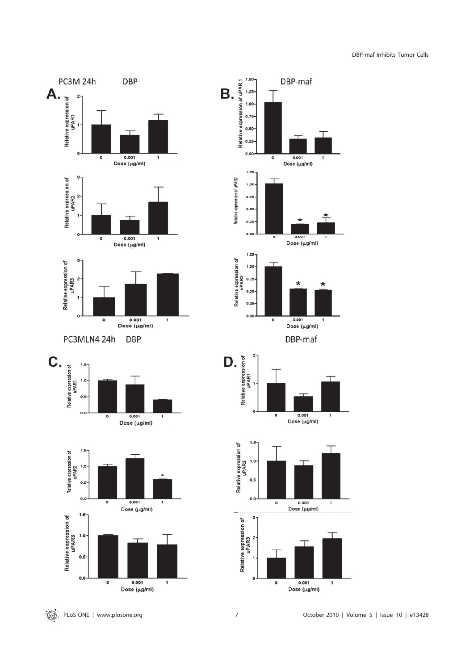DBP-maf Inhibits Tumor Cells

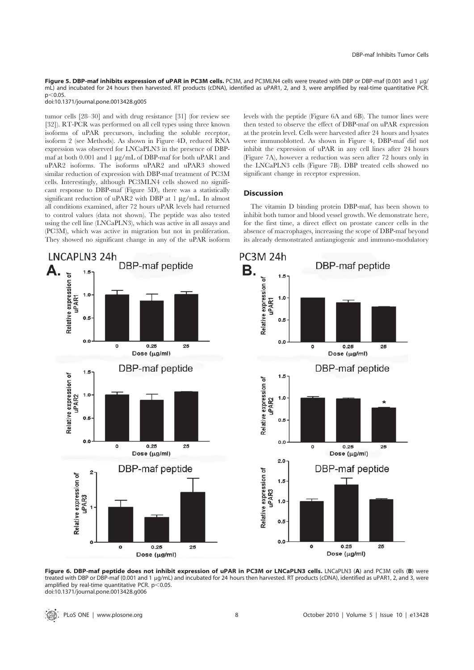Figure 5. DBP-maf inhibits expression of uPAR in PC3M cells. PC3M, and PC3MLN4 cells were treated with DBP or DBP-maf (0.001 and 1 ug/ mL) and incubated for 24 hours then harvested. RT products (cDNA), identified as uPAR1, 2, and 3, were amplified by real-time quantitative PCR.  $p < 0.05$ 

doi:10.1371/journal.pone.0013428.g005

tumor cells [28–30] and with drug resistance [31] (for review see [32]). RT-PCR was performed on all cell types using three known isoforms of uPAR precursors, including the soluble receptor, isoform 2 (see Methods). As shown in Figure 4D, reduced RNA expression was observed for LNCaPLN3 in the presence of DBPmaf at both 0.001 and 1 µg/mL of DBP-maf for both uPAR1 and uPAR2 isoforms. The isoforms uPAR2 and uPAR3 showed similar reduction of expression with DBP-maf treatment of PC3M cells. Interestingly, although PC3MLN4 cells showed no significant response to DBP-maf (Figure 5D), there was a statistically significant reduction of uPAR2 with DBP at 1 µg/mL. In almost all conditions examined, after 72 hours uPAR levels had returned to control values (data not shown). The peptide was also tested using the cell line (LNCaPLN3), which was active in all assays and (PC3M), which was active in migration but not in proliferation. They showed no significant change in any of the uPAR isoform levels with the peptide (Figure 6A and 6B). The tumor lines were then tested to observe the effect of DBP-maf on uPAR expression at the protein level. Cells were harvested after 24 hours and lysates were immunoblotted. As shown in Figure 4, DBP-maf did not inhibit the expression of uPAR in any cell lines after 24 hours (Figure 7A), however a reduction was seen after 72 hours only in the LNCaPLN3 cells (Figure 7B). DBP treated cells showed no significant change in receptor expression.

## Discussion

The vitamin D binding protein DBP-maf, has been shown to inhibit both tumor and blood vessel growth. We demonstrate here, for the first time, a direct effect on prostate cancer cells in the absence of macrophages, increasing the scope of DBP-maf beyond its already demonstrated antiangiogenic and immuno-modulatory



Figure 6. DBP-maf peptide does not inhibit expression of uPAR in PC3M or LNCaPLN3 cells. LNCaPLN3 (A) and PC3M cells (B) were treated with DBP or DBP-maf (0.001 and 1 µg/mL) and incubated for 24 hours then harvested. RT products (cDNA), identified as uPAR1, 2, and 3, were amplified by real-time quantitative PCR.  $p<0.05$ . doi:10.1371/journal.pone.0013428.g006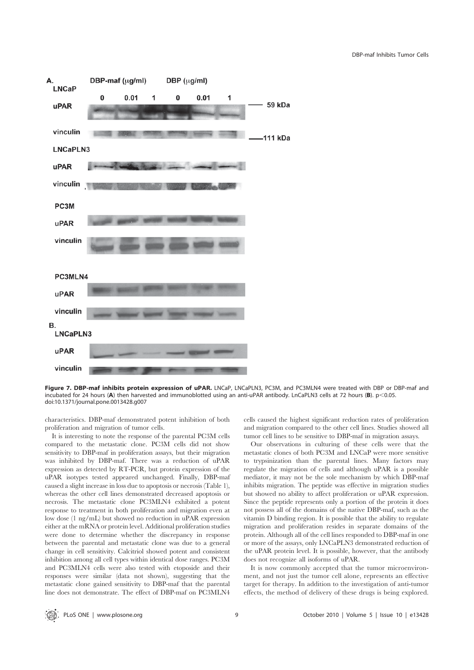

Figure 7. DBP-maf inhibits protein expression of uPAR. LNCaP, LNCaPLN3, PC3M, and PC3MLN4 were treated with DBP or DBP-maf and incubated for 24 hours (A) then harvested and immunoblotted using an anti-uPAR antibody. LnCaPLN3 cells at 72 hours (B).  $p<0.05$ . doi:10.1371/journal.pone.0013428.g007

characteristics. DBP-maf demonstrated potent inhibition of both proliferation and migration of tumor cells.

It is interesting to note the response of the parental PC3M cells compared to the metastatic clone. PC3M cells did not show sensitivity to DBP-maf in proliferation assays, but their migration was inhibited by DBP-maf. There was a reduction of uPAR expression as detected by RT-PCR, but protein expression of the uPAR isotypes tested appeared unchanged. Finally, DBP-maf caused a slight increase in loss due to apoptosis or necrosis (Table 1), whereas the other cell lines demonstrated decreased apoptosis or necrosis. The metastatic clone PC3MLN4 exhibited a potent response to treatment in both proliferation and migration even at low dose (1 ng/mL) but showed no reduction in uPAR expression either at the mRNA or protein level. Additional proliferation studies were done to determine whether the discrepancy in response between the parental and metastatic clone was due to a general change in cell sensitivity. Calcitriol showed potent and consistent inhibition among all cell types within identical dose ranges. PC3M and PC3MLN4 cells were also tested with etoposide and their responses were similar (data not shown), suggesting that the metastatic clone gained sensitivity to DBP-maf that the parental line does not demonstrate. The effect of DBP-maf on PC3MLN4 cells caused the highest significant reduction rates of proliferation and migration compared to the other cell lines. Studies showed all tumor cell lines to be sensitive to DBP-maf in migration assays.

Our observations in culturing of these cells were that the metastatic clones of both PC3M and LNCaP were more sensitive to trypsinization than the parental lines. Many factors may regulate the migration of cells and although uPAR is a possible mediator, it may not be the sole mechanism by which DBP-maf inhibits migration. The peptide was effective in migration studies but showed no ability to affect proliferation or uPAR expression. Since the peptide represents only a portion of the protein it does not possess all of the domains of the native DBP-maf, such as the vitamin D binding region. It is possible that the ability to regulate migration and proliferation resides in separate domains of the protein. Although all of the cell lines responded to DBP-maf in one or more of the assays, only LNCaPLN3 demonstrated reduction of the uPAR protein level. It is possible, however, that the antibody does not recognize all isoforms of uPAR.

It is now commonly accepted that the tumor microenvironment, and not just the tumor cell alone, represents an effective target for therapy. In addition to the investigation of anti-tumor effects, the method of delivery of these drugs is being explored.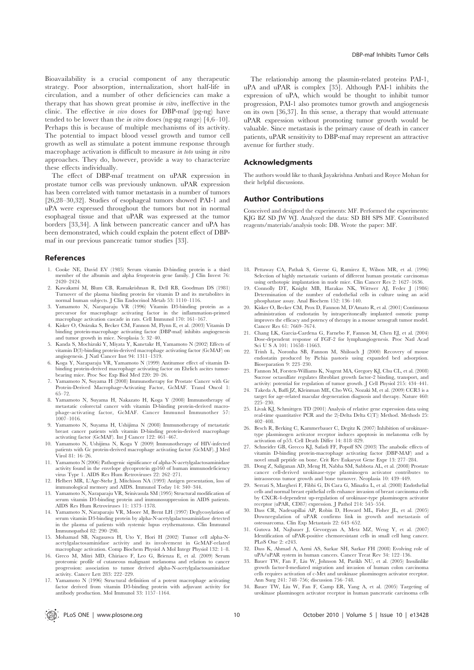Bioavailability is a crucial component of any therapeutic strategy. Poor absorption, internalization, short half-life in circulation, and a number of other deficiencies can make a therapy that has shown great promise in vitro, ineffective in the clinic. The effective in vivo doses for DBP-maf (pg-ng) have tended to be lower than the *in vitro* doses (ng- $\mu$ g range) [4,6–10]. Perhaps this is because of multiple mechanisms of its activity. The potential to impact blood vessel growth and tumor cell growth as well as stimulate a potent immune response through macrophage activation is difficult to measure in toto using in vitro approaches. They do, however, provide a way to characterize these effects individually.

The effect of DBP-maf treatment on uPAR expression in prostate tumor cells was previously unknown. uPAR expression has been correlated with tumor metastasis in a number of tumors [26,28–30,32]. Studies of esophageal tumors showed PAI-1 and uPA were expressed throughout the tumors but not in normal esophageal tissue and that uPAR was expressed at the tumor borders [33,34]. A link between pancreatic cancer and uPA has been demonstrated, which could explain the potent effect of DBPmaf in our previous pancreatic tumor studies [33].

#### References

- 1. Cooke NE, David EV (1985) Serum vitamin D-binding protein is a third member of the albumin and alpha fetoprotein gene family. J Clin Invest 76: 2420–2424.
- 2. Kawakami M, Blum CB, Ramakrishnan R, Dell RB, Goodman DS (1981) Turnover of the plasma binding protein for vitamin D and its metabolites in normal human subjects. J Clin Endocrinol Metab 53: 1110–1116.
- 3. Yamamoto N, Naraparaju VR (1996) Vitamin D3-binding protein as a precursor for macrophage activating factor in the inflammation-primed macrophage activation cascade in rats. Cell Immunol 170: 161–167.
- 4. Kisker O, Onizuka S, Becker CM, Fannon M, Flynn E, et al. (2003) Vitamin D binding protein-macrophage activating factor (DBP-maf) inhibits angiogenesis and tumor growth in mice. Neoplasia 5: 32–40.
- 5. Kanda S, Mochizuki Y, Miyata Y, Kanetake H, Yamamoto N (2002) Effects of vitamin D(3)-binding protein-derived macrophage activating factor (GcMAF) on angiogenesis. J Natl Cancer Inst 94: 1311–1319.
- 6. Koga Y, Naraparaju VR, Yamamoto N (1999) Antitumor effect of vitamin Dbinding protein-derived macrophage activating factor on Ehrlich ascites tumorbearing mice. Proc Soc Exp Biol Med 220: 20–26.
- 7. Yamamoto N, Suyama H (2008) Immunotherapy for Prostate Cancer with Gc Protein-Derived Macrophage-Activating Factor, GcMAF. Transl Oncol 1: 65–72.
- 8. Yamamoto N, Suyama H, Nakazato H, Koga Y (2008) Immunotherapy of metastatic colorectal cancer with vitamin D-binding protein-derived macrophage-activating factor, GcMAF. Cancer Immunol Immunother 57: 1007–1016.
- 9. Yamamoto N, Suyama H, Ushijima N (2008) Immunotherapy of metastatic breast cancer patients with vitamin D-binding protein-derived macrophage activating factor (GcMAF). Int J Cancer 122: 461–467.
- 10. Yamamoto N, Ushijima N, Koga Y (2009) Immunotherapy of HIV-infected patients with Gc protein-derived macrophage activating factor (GcMAF). J Med Virol 81: 16–26.
- 11. Yamamoto N (2006) Pathogenic significance of alpha-N-acetylgalactosaminidase activity found in the envelope glycoprotein gp160 of human immunodeficiency virus Type 1. AIDS Res Hum Retroviruses 22: 262–271.
- 12. Helbert MR, L'Age-Stehr J, Mitchison NA (1993) Antigen presentation, loss of immunological memory and AIDS. Immunol Today 14: 340–344.
- 13. Yamamoto N, Naraparaju VR, Srinivasula SM (1995) Structural modification of serum vitamin D3-binding protein and immunosuppression in AIDS patients. AIDS Res Hum Retroviruses 11: 1373–1378. 14. Yamamoto N, Naraparaju VR, Moore M, Brent LH (1997) Deglycosylation of
- serum vitamin D3-binding protein by alpha-N-acetylgalactosaminidase detected in the plasma of patients with systemic lupus erythematosus. Clin Immunol Immunopathol 82: 290–298.
- 15. Mohamad SB, Nagasawa H, Uto Y, Hori H (2002) Tumor cell alpha-Nacetylgalactosaminidase activity and its involvement in GcMAF-related macrophage activation. Comp Biochem Physiol A Mol Integr Physiol 132: 1–8.
- 16. Greco M, Mitri MD, Chiriaco F, Leo G, Brienza E, et al. (2009) Serum proteomic profile of cutaneous malignant melanoma and relation to cancer progression: association to tumor derived alpha-N-acetylgalactosaminidase activity. Cancer Lett 283: 222–229.
- 17. Yamamoto N (1996) Structural definition of a potent macrophage activating factor derived from vitamin D3-binding protein with adjuvant activity for antibody production. Mol Immunol 33: 1157–1164.

The relationship among the plasmin-related proteins PAI-1, uPA and uPAR is complex [35]. Although PAI-1 inhibits the expression of uPA, which would be thought to inhibit tumor progression, PAI-1 also promotes tumor growth and angiogenesis on its own [36,37]. In this sense, a therapy that would attenuate uPAR expression without promoting tumor growth would be valuable. Since metastasis is the primary cause of death in cancer patients, uPAR sensitivity to DBP-maf may represent an attractive avenue for further study.

#### Acknowledgments

The authors would like to thank Jayakrishna Ambati and Royce Mohan for their helpful discussions.

#### Author Contributions

Conceived and designed the experiments: MF. Performed the experiments: KJG BZ SD JW WJ. Analyzed the data: SD BH SPS MF. Contributed reagents/materials/analysis tools: DB. Wrote the paper: MF.

- 18. Pettaway CA, Pathak S, Greene G, Ramirez E, Wilson MR, et al. (1996) Selection of highly metastatic variants of different human prostatic carcinomas using orthotopic implantation in nude mice. Clin Cancer Res 2: 1627–1636.
- 19. Connolly DT, Knight MB, Harakas NK, Wittwer AJ, Feder J (1986) Determination of the number of endothelial cells in culture using an acid phosphatase assay. Anal Biochem 152: 136–140.
- 20. Kisker O, Becker CM, Prox D, Fannon M, D'Amato R, et al. (2001) Continuous administration of endostatin by intraperitoneally implanted osmotic pump improves the efficacy and potency of therapy in a mouse xenograft tumor model. Cancer Res 61: 7669–7674.
- 21. Chang LK, Garcia-Cardena G, Farnebo F, Fannon M, Chen EJ, et al. (2004) Dose-dependent response of FGF-2 for lymphangiogenesis. Proc Natl Acad Sci U S A 101: 11658–11663.
- 22. Trinh L, Noronha SB, Fannon M, Shiloach J (2000) Recovery of mouse endostatin produced by Pichia pastoris using expanded bed adsorption. Bioseparation 9: 223-230.
- 23. Fannon M, Forsten-Williams K, Nugent MA, Gregory KJ, Chu CL, et al. (2008) Sucrose octasulfate regulates fibroblast growth factor-2 binding, transport, and activity: potential for regulation of tumor growth. J Cell Physiol 215: 434–441.
- 24. Takeda A, Baffi JZ, Kleinman ME, Cho WG, Nozaki M, et al. (2009) CCR3 is a target for age-related macular degeneration diagnosis and therapy. Nature 460: 225–230.
- 25. Livak KJ, Schmittgen TD (2001) Analysis of relative gene expression data using real-time quantitative PCR and the 2(-Delta Delta C(T)) Method. Methods 25: 402–408.
- 26. Besch R, Berking C, Kammerbauer C, Degitz K (2007) Inhibition of urokinasetype plasminogen activator receptor induces apoptosis in melanoma cells by activation of p53. Cell Death Differ 14: 818–829.
- 27. Schneider GB, Grecco KJ, Safadi FF, Popoff SN (2003) The anabolic effects of vitamin D-binding protein-macrophage activating factor (DBP-MAF) and a novel small peptide on bone. Crit Rev Eukaryot Gene Expr 13: 277–284.
- 28. Dong Z, Saliganan AD, Meng H, Nabha SM, Sabbota AL, et al. (2008) Prostate cancer cell-derived urokinase-type plasminogen activator contributes to intraosseous tumor growth and bone turnover. Neoplasia 10: 439–449.
- 29. Serrati S, Margheri F, Fibbi G, Di Cara G, Minafra L, et al. (2008) Endothelial cells and normal breast epithelial cells enhance invasion of breast carcinoma cells by CXCR-4-dependent up-regulation of urokinase-type plasminogen activator receptor (uPAR, CD87) expression. J Pathol 214: 545–554.
- 30. Dass CR, Nadesapillai AP, Robin D, Howard ML, Fisher JL, et al. (2005) Downregulation of uPAR confirms link in growth and metastasis of osteosarcoma. Clin Exp Metastasis 22: 643–652.
- 31. Gutova M, Najbauer J, Gevorgyan A, Metz MZ, Weng Y, et al. (2007) Identification of uPAR-positive chemoresistant cells in small cell lung cancer. PLoS One 2: e243.
- 32. Dass K, Ahmad A, Azmi AS, Sarkar SH, Sarkar FH (2008) Evolving role of uPA/uPAR system in human cancers. Cancer Treat Rev 34: 122–136.
- 33. Bauer TW, Fan F, Liu W, Johnson M, Parikh NU, et al. (2005) Insulinlike growth factor-I-mediated migration and invasion of human colon carcinoma cells requires activation of c-Met and urokinase plasminogen activator receptor. Ann Surg 241: 748–756; discussion 756–748.
- 34. Bauer TW, Liu W, Fan F, Camp ER, Yang A, et al. (2005) Targeting of urokinase plasminogen activator receptor in human pancreatic carcinoma cells